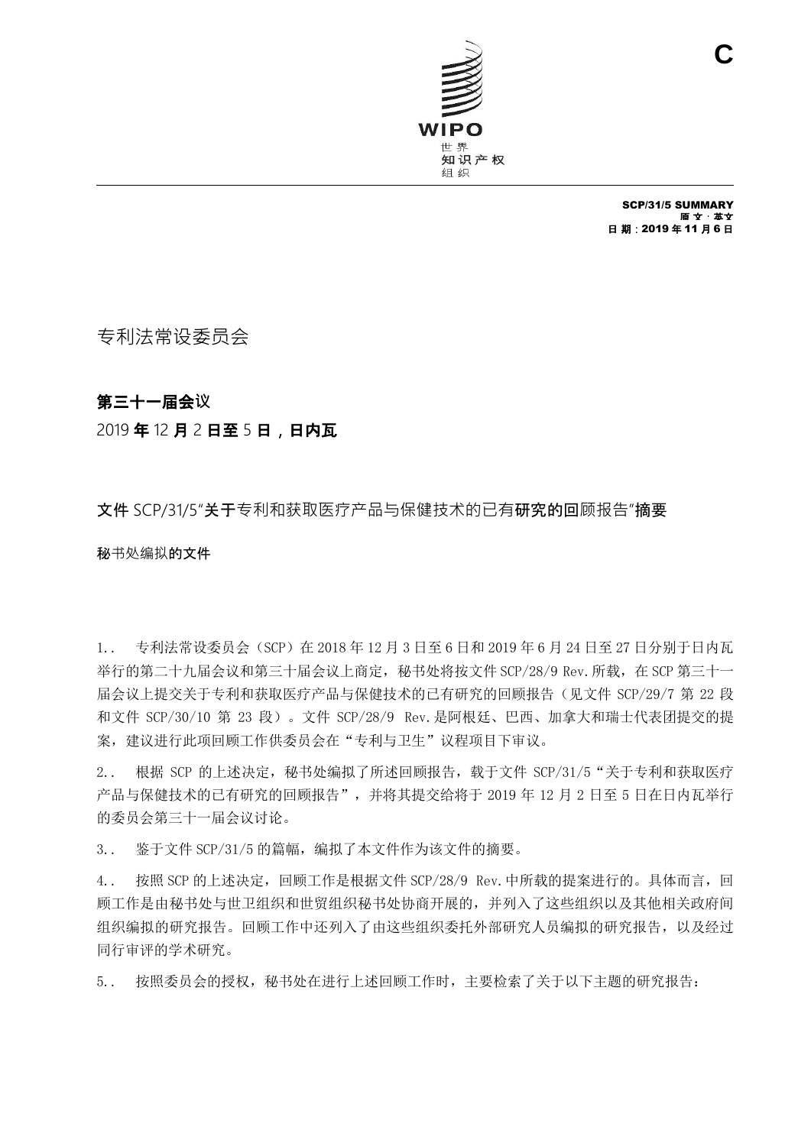

SCP/31/5 SUMMARY 原 文:英文 日 期:2019 年 11 月 6 日

专利法常设委员会

## 第三十一届会议

## 2019 年 12 月 2 日至 5 日,日内瓦

## 文件 SCP/31/5"关于专利和获取医疗产品与保健技术的已有研究的回顾报告"摘要

秘书处编拟的文件

1.. 专利法常设委员会(SCP)在 2018 年 12 月 3 日至 6 日和 2019 年 6 月 24 日至 27 日分别于日内瓦 举行的第二十九届会议和第三十届会议上商定,秘书处将按文件 SCP/28/9 Rev. 所载, 在 SCP 第三十一 届会议上提交关于专利和获取医疗产品与保健技术的已有研究的回顾报告(见文件 SCP/29/7 第 22 段 和文件 SCP/30/10 第 23 段)。文件 SCP/28/9 Rev.是阿根廷、巴西、加拿大和瑞士代表团提交的提 案,建议进行此项回顾工作供委员会在"专利与卫生"议程项目下审议。

2.. 根据 SCP 的上述决定,秘书处编拟了所述回顾报告,载于文件 SCP/31/5"关于专利和获取医疗 产品与保健技术的已有研究的回顾报告",并将其提交给将于 2019 年 12 月 2 日至 5 日在日内瓦举行 的委员会第三十一届会议讨论。

3.. 鉴于文件 SCP/31/5 的篇幅, 编拟了本文件作为该文件的摘要。

4.. 按照 SCP 的上述决定,回顾工作是根据文件 SCP/28/9 Rev.中所载的提案进行的。具体而言,回 顾工作是由秘书处与世卫组织和世贸组织秘书处协商开展的,并列入了这些组织以及其他相关政府间 组织编拟的研究报告。回顾工作中还列入了由这些组织委托外部研究人员编拟的研究报告,以及经过 同行审评的学术研究。

5.. 按照委员会的授权,秘书处在进行上述回顾工作时,主要检索了关于以下主题的研究报告: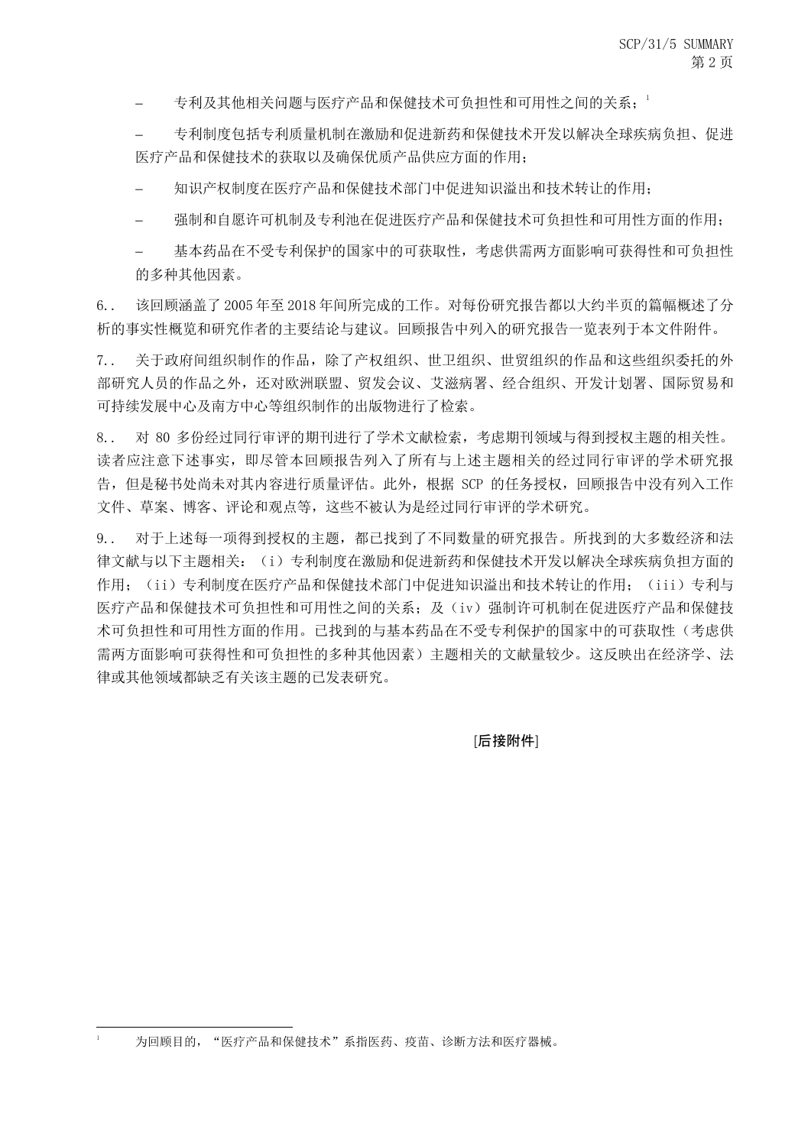专利及其他相关问题与医疗产品和保健技术可负担性和可用性之间的关系;

 专利制度包括专利质量机制在激励和促进新药和保健技术开发以解决全球疾病负担、促进 医疗产品和保健技术的获取以及确保优质产品供应方面的作用;

知识产权制度在医疗产品和保健技术部门中促进知识溢出和技术转让的作用;

强制和自愿许可机制及专利池在促进医疗产品和保健技术可负担性和可用性方面的作用;

 基本药品在不受专利保护的国家中的可获取性,考虑供需两方面影响可获得性和可负担性 的多种其他因素。

6.. 该回顾涵盖了 2005 年至 2018 年间所完成的工作。对每份研究报告都以大约半页的篇幅概述了分 析的事实性概览和研究作者的主要结论与建议。回顾报告中列入的研究报告一览表列于本文件附件。

7. . 关于政府间组织制作的作品,除了产权组织、世卫组织、世贸组织的作品和这些组织委托的外 部研究人员的作品之外,还对欧洲联盟、贸发会议、艾滋病署、经合组织、开发计划署、国际贸易和 可持续发展中心及南方中心等组织制作的出版物进行了检索。

8.. 对 80 多份经过同行审评的期刊进行了学术文献检索,考虑期刊领域与得到授权主题的相关性。 读者应注意下述事实,即尽管本回顾报告列入了所有与上述主题相关的经过同行审评的学术研究报 告,但是秘书处尚未对其内容进行质量评估。此外,根据 SCP 的任务授权,回顾报告中没有列入工作 文件、草案、博客、评论和观点等,这些不被认为是经过同行审评的学术研究。

9.. 对于上述每一项得到授权的主题,都已找到了不同数量的研究报告。所找到的大多数经济和法 律文献与以下主题相关:(i)专利制度在激励和促进新药和保健技术开发以解决全球疾病负担方面的 作用; (ii)专利制度在医疗产品和保健技术部门中促进知识溢出和技术转让的作用; (iii)专利与 医疗产品和保健技术可负担性和可用性之间的关系;及(iv)强制许可机制在促进医疗产品和保健技 术可负担性和可用性方面的作用。已找到的与基本药品在不受专利保护的国家中的可获取性(考虑供 需两方面影响可获得性和可负担性的多种其他因素)主题相关的文献量较少。这反映出在经济学、法 律或其他领域都缺乏有关该主题的已发表研究。

[后接附件]

 $\overline{a}$ 

为回顾目的, "医疗产品和保健技术"系指医药、疫苗、诊断方法和医疗器械。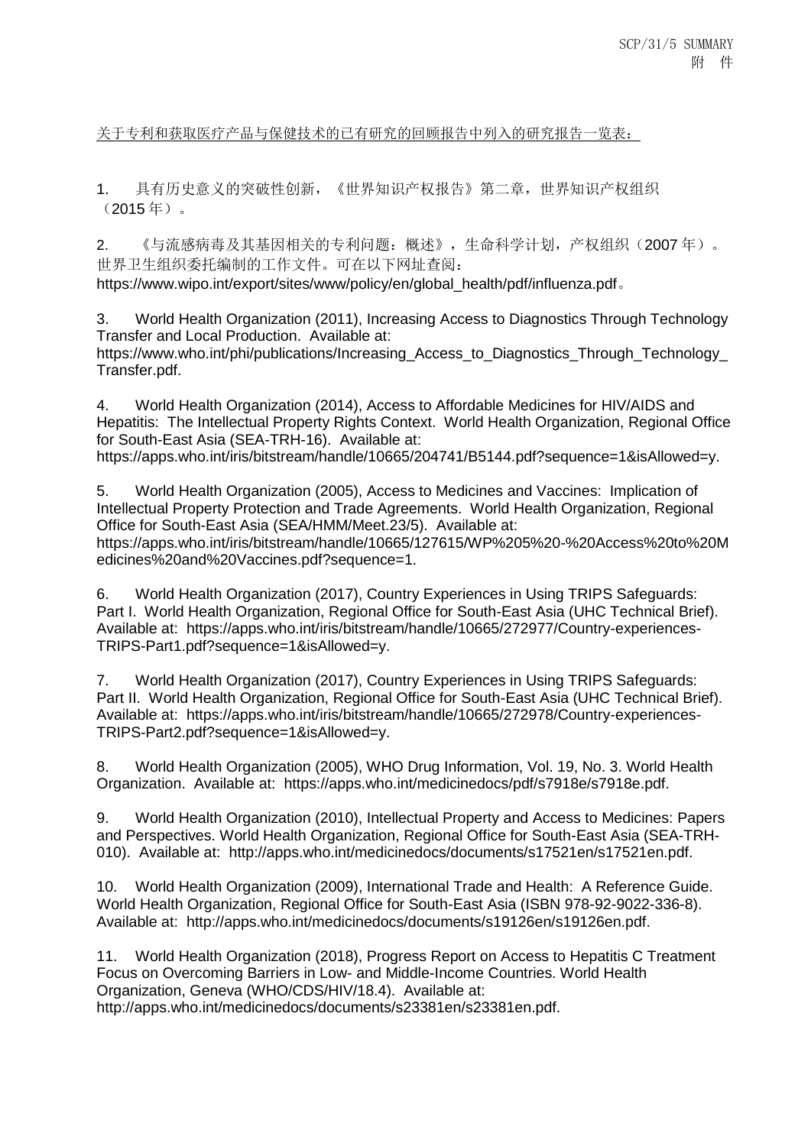关于专利和获取医疗产品与保健技术的已有研究的回顾报告中列入的研究报告一览表:

1. 具有历史意义的突破性创新,《世界知识产权报告》第二章,世界知识产权组织 (2015 年)。

2. 《与流感病毒及其基因相关的专利问题:概述》,生命科学计划,产权组织(2007 年)。 世界卫生组织委托编制的工作文件。可在以下网址查阅:

[https://www.wipo.int/export/sites/www/policy/en/global\\_health/pdf/influenza.pdf](https://www.wipo.int/export/sites/www/policy/en/global_health/pdf/influenza.pdf)。

3. World Health Organization (2011), Increasing Access to Diagnostics Through Technology Transfer and Local Production. Available at:

https://www.who.int/phi/publications/Increasing\_Access\_to\_Diagnostics\_Through\_Technology\_ Transfer.pdf.

4. World Health Organization (2014), Access to Affordable Medicines for HIV/AIDS and Hepatitis: The Intellectual Property Rights Context. World Health Organization, Regional Office for South-East Asia (SEA-TRH-16). Available at: https://apps.who.int/iris/bitstream/handle/10665/204741/B5144.pdf?sequence=1&isAllowed=y.

5. World Health Organization (2005), Access to Medicines and Vaccines: Implication of Intellectual Property Protection and Trade Agreements. World Health Organization, Regional Office for South-East Asia (SEA/HMM/Meet.23/5). Available at: https://apps.who.int/iris/bitstream/handle/10665/127615/WP%205%20-%20Access%20to%20M edicines%20and%20Vaccines.pdf?sequence=1.

6. World Health Organization (2017), Country Experiences in Using TRIPS Safeguards: Part I. World Health Organization, Regional Office for South-East Asia (UHC Technical Brief). Available at: https://apps.who.int/iris/bitstream/handle/10665/272977/Country-experiences-TRIPS-Part1.pdf?sequence=1&isAllowed=y.

7. World Health Organization (2017), Country Experiences in Using TRIPS Safeguards: Part II. World Health Organization, Regional Office for South-East Asia (UHC Technical Brief). Available at: https://apps.who.int/iris/bitstream/handle/10665/272978/Country-experiences-TRIPS-Part2.pdf?sequence=1&isAllowed=y.

8. World Health Organization (2005), WHO Drug Information, Vol. 19, No. 3. World Health Organization. Available at: https://apps.who.int/medicinedocs/pdf/s7918e/s7918e.pdf.

9. World Health Organization (2010), Intellectual Property and Access to Medicines: Papers and Perspectives. World Health Organization, Regional Office for South-East Asia (SEA-TRH-010). Available at: http://apps.who.int/medicinedocs/documents/s17521en/s17521en.pdf.

10. World Health Organization (2009), International Trade and Health: A Reference Guide. World Health Organization, Regional Office for South-East Asia (ISBN 978-92-9022-336-8). Available at: http://apps.who.int/medicinedocs/documents/s19126en/s19126en.pdf.

11. World Health Organization (2018), Progress Report on Access to Hepatitis C Treatment Focus on Overcoming Barriers in Low- and Middle-Income Countries. World Health Organization, Geneva (WHO/CDS/HIV/18.4). Available at: http://apps.who.int/medicinedocs/documents/s23381en/s23381en.pdf.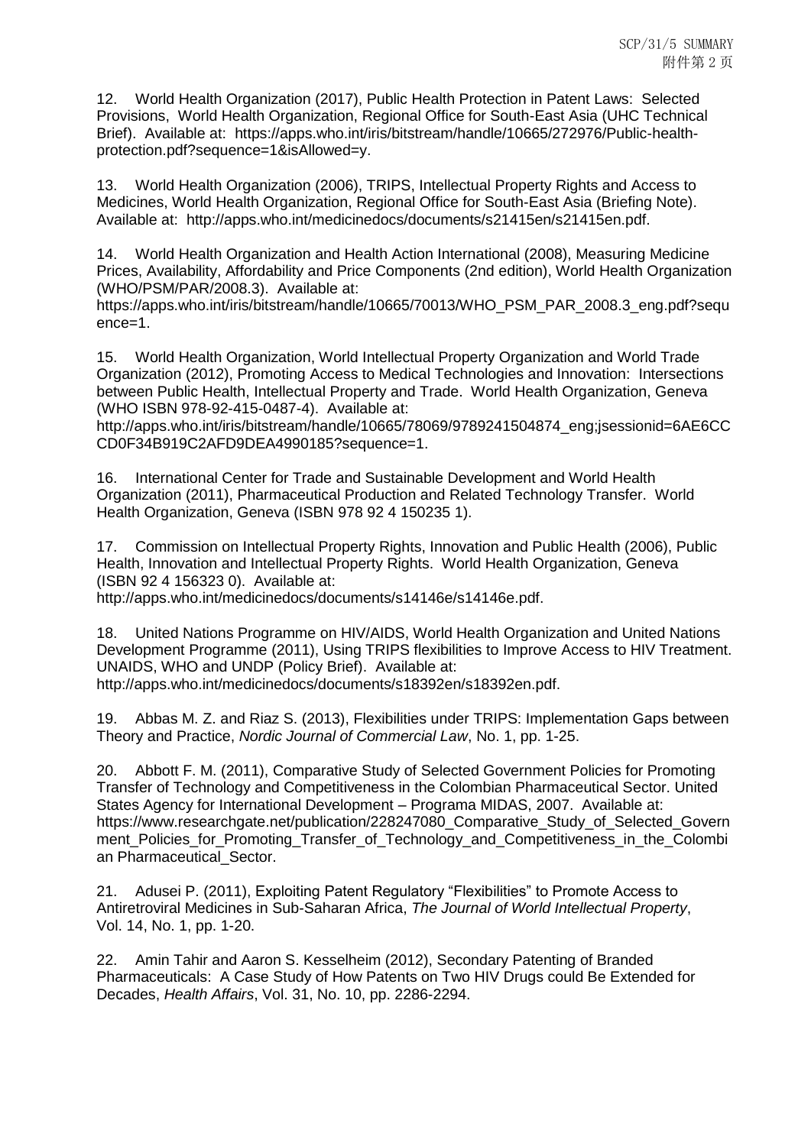12. World Health Organization (2017), Public Health Protection in Patent Laws: Selected Provisions, World Health Organization, Regional Office for South-East Asia (UHC Technical Brief). Available at: https://apps.who.int/iris/bitstream/handle/10665/272976/Public-healthprotection.pdf?sequence=1&isAllowed=y.

13. World Health Organization (2006), TRIPS, Intellectual Property Rights and Access to Medicines, World Health Organization, Regional Office for South-East Asia (Briefing Note). Available at: http://apps.who.int/medicinedocs/documents/s21415en/s21415en.pdf.

14. World Health Organization and Health Action International (2008), Measuring Medicine Prices, Availability, Affordability and Price Components (2nd edition), World Health Organization (WHO/PSM/PAR/2008.3). Available at:

https://apps.who.int/iris/bitstream/handle/10665/70013/WHO\_PSM\_PAR\_2008.3\_eng.pdf?sequ ence=1.

15. World Health Organization, World Intellectual Property Organization and World Trade Organization (2012), Promoting Access to Medical Technologies and Innovation: Intersections between Public Health, Intellectual Property and Trade. World Health Organization, Geneva (WHO ISBN 978-92-415-0487-4). Available at:

http://apps.who.int/iris/bitstream/handle/10665/78069/9789241504874\_eng;jsessionid=6AE6CC CD0F34B919C2AFD9DEA4990185?sequence=1.

16. International Center for Trade and Sustainable Development and World Health Organization (2011), Pharmaceutical Production and Related Technology Transfer. World Health Organization, Geneva (ISBN 978 92 4 150235 1).

17. Commission on Intellectual Property Rights, Innovation and Public Health (2006), Public Health, Innovation and Intellectual Property Rights. World Health Organization, Geneva (ISBN 92 4 156323 0). Available at:

http://apps.who.int/medicinedocs/documents/s14146e/s14146e.pdf.

18. United Nations Programme on HIV/AIDS, World Health Organization and United Nations Development Programme (2011), Using TRIPS flexibilities to Improve Access to HIV Treatment. UNAIDS, WHO and UNDP (Policy Brief). Available at:

http://apps.who.int/medicinedocs/documents/s18392en/s18392en.pdf.

19. Abbas M. Z. and Riaz S. (2013), Flexibilities under TRIPS: Implementation Gaps between Theory and Practice, *Nordic Journal of Commercial Law*, No. 1, pp. 1-25.

20. Abbott F. M. (2011), Comparative Study of Selected Government Policies for Promoting Transfer of Technology and Competitiveness in the Colombian Pharmaceutical Sector. United States Agency for International Development – Programa MIDAS, 2007. Available at: https://www.researchgate.net/publication/228247080\_Comparative\_Study\_of\_Selected\_Govern ment\_Policies\_for\_Promoting\_Transfer\_of\_Technology\_and\_Competitiveness\_in\_the\_Colombi an Pharmaceutical\_Sector.

21. Adusei P. (2011), Exploiting Patent Regulatory "Flexibilities" to Promote Access to Antiretroviral Medicines in Sub-Saharan Africa, *The Journal of World Intellectual Property*, Vol. 14, No. 1, pp. 1-20.

22. Amin Tahir and Aaron S. Kesselheim (2012), Secondary Patenting of Branded Pharmaceuticals: A Case Study of How Patents on Two HIV Drugs could Be Extended for Decades, *Health Affairs*, Vol. 31, No. 10, pp. 2286-2294.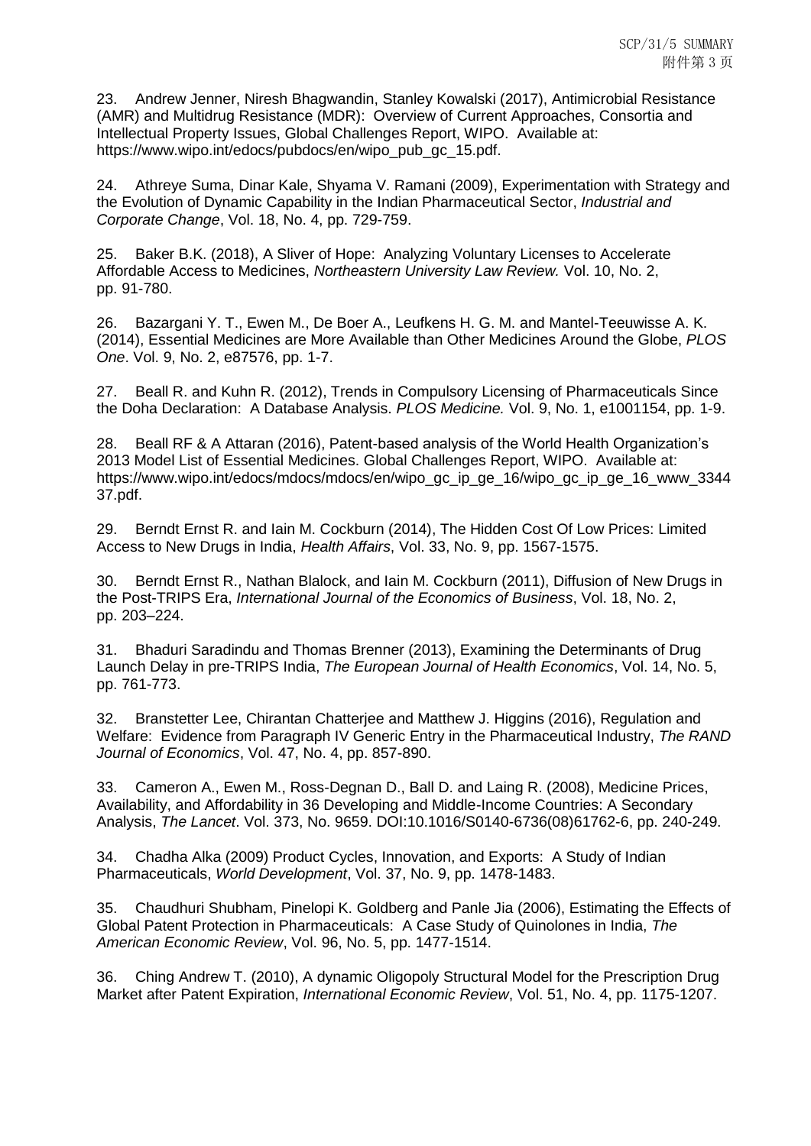23. Andrew Jenner, Niresh Bhagwandin, Stanley Kowalski (2017), Antimicrobial Resistance (AMR) and Multidrug Resistance (MDR): Overview of Current Approaches, Consortia and Intellectual Property Issues, Global Challenges Report, WIPO. Available at: https://www.wipo.int/edocs/pubdocs/en/wipo\_pub\_gc\_15.pdf.

24. Athreye Suma, Dinar Kale, Shyama V. Ramani (2009), Experimentation with Strategy and the Evolution of Dynamic Capability in the Indian Pharmaceutical Sector, *Industrial and Corporate Change*, Vol. 18, No. 4, pp. 729-759.

25. Baker B.K. (2018), A Sliver of Hope: Analyzing Voluntary Licenses to Accelerate Affordable Access to Medicines, *Northeastern University Law Review.* Vol. 10, No. 2, pp. 91-780.

26. Bazargani Y. T., Ewen M., De Boer A., Leufkens H. G. M. and Mantel-Teeuwisse A. K. (2014), Essential Medicines are More Available than Other Medicines Around the Globe, *PLOS One*. Vol. 9, No. 2, e87576, pp. 1-7.

27. Beall R. and Kuhn R. (2012), Trends in Compulsory Licensing of Pharmaceuticals Since the Doha Declaration: A Database Analysis. *PLOS Medicine.* Vol. 9, No. 1, e1001154, pp. 1-9.

28. Beall RF & A Attaran (2016), Patent-based analysis of the World Health Organization's 2013 Model List of Essential Medicines. Global Challenges Report, WIPO. Available at: https://www.wipo.int/edocs/mdocs/mdocs/en/wipo\_gc\_ip\_ge\_16/wipo\_gc\_ip\_ge\_16\_www\_3344 37.pdf.

29. Berndt Ernst R. and Iain M. Cockburn (2014), The Hidden Cost Of Low Prices: Limited Access to New Drugs in India, *Health Affairs*, Vol. 33, No. 9, pp. 1567-1575.

30. Berndt Ernst R., Nathan Blalock, and Iain M. Cockburn (2011), Diffusion of New Drugs in the Post-TRIPS Era, *International Journal of the Economics of Business*, Vol. 18, No. 2, pp. 203–224.

31. Bhaduri Saradindu and Thomas Brenner (2013), Examining the Determinants of Drug Launch Delay in pre-TRIPS India, *The European Journal of Health Economics*, Vol. 14, No. 5, pp. 761-773.

32. Branstetter Lee, Chirantan Chatterjee and Matthew J. Higgins (2016), Regulation and Welfare: Evidence from Paragraph IV Generic Entry in the Pharmaceutical Industry, *The RAND Journal of Economics*, Vol. 47, No. 4, pp. 857-890.

33. Cameron A., Ewen M., Ross-Degnan D., Ball D. and Laing R. (2008), Medicine Prices, Availability, and Affordability in 36 Developing and Middle-Income Countries: A Secondary Analysis, *The Lancet*. Vol. 373, No. 9659. DOI:10.1016/S0140-6736(08)61762-6, pp. 240-249.

34. Chadha Alka (2009) Product Cycles, Innovation, and Exports: A Study of Indian Pharmaceuticals, *World Development*, Vol. 37, No. 9, pp. 1478-1483.

35. Chaudhuri Shubham, Pinelopi K. Goldberg and Panle Jia (2006), Estimating the Effects of Global Patent Protection in Pharmaceuticals: A Case Study of Quinolones in India, *The American Economic Review*, Vol. 96, No. 5, pp. 1477-1514.

36. Ching Andrew T. (2010), A dynamic Oligopoly Structural Model for the Prescription Drug Market after Patent Expiration, *International Economic Review*, Vol. 51, No. 4, pp. 1175-1207.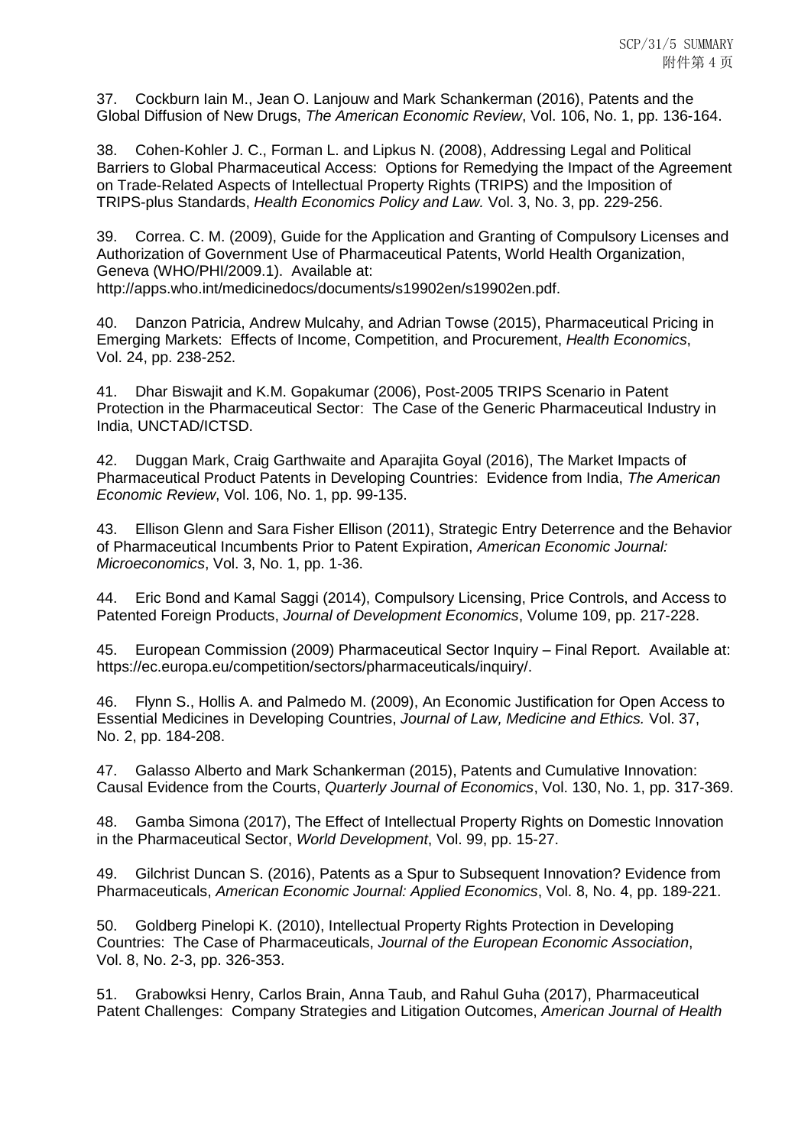37. Cockburn Iain M., Jean O. Lanjouw and Mark Schankerman (2016), Patents and the Global Diffusion of New Drugs, *The American Economic Review*, Vol. 106, No. 1, pp. 136-164.

38. Cohen-Kohler J. C., Forman L. and Lipkus N. (2008), Addressing Legal and Political Barriers to Global Pharmaceutical Access: Options for Remedying the Impact of the Agreement on Trade-Related Aspects of Intellectual Property Rights (TRIPS) and the Imposition of TRIPS-plus Standards, *Health Economics Policy and Law.* Vol. 3, No. 3, pp. 229-256.

39. Correa. C. M. (2009), Guide for the Application and Granting of Compulsory Licenses and Authorization of Government Use of Pharmaceutical Patents, World Health Organization, Geneva (WHO/PHI/2009.1). Available at: http://apps.who.int/medicinedocs/documents/s19902en/s19902en.pdf.

40. Danzon Patricia, Andrew Mulcahy, and Adrian Towse (2015), Pharmaceutical Pricing in Emerging Markets: Effects of Income, Competition, and Procurement, *Health Economics*, Vol. 24, pp. 238-252.

41. Dhar Biswajit and K.M. Gopakumar (2006), Post-2005 TRIPS Scenario in Patent Protection in the Pharmaceutical Sector: The Case of the Generic Pharmaceutical Industry in India, UNCTAD/ICTSD.

42. Duggan Mark, Craig Garthwaite and Aparajita Goyal (2016), The Market Impacts of Pharmaceutical Product Patents in Developing Countries: Evidence from India, *The American Economic Review*, Vol. 106, No. 1, pp. 99-135.

43. Ellison Glenn and Sara Fisher Ellison (2011), Strategic Entry Deterrence and the Behavior of Pharmaceutical Incumbents Prior to Patent Expiration, *American Economic Journal: Microeconomics*, Vol. 3, No. 1, pp. 1-36.

44. Eric Bond and Kamal Saggi (2014), Compulsory Licensing, Price Controls, and Access to Patented Foreign Products, *Journal of Development Economics*, Volume 109, pp. 217-228.

45. European Commission (2009) Pharmaceutical Sector Inquiry – Final Report. Available at: https://ec.europa.eu/competition/sectors/pharmaceuticals/inquiry/.

46. Flynn S., Hollis A. and Palmedo M. (2009), An Economic Justification for Open Access to Essential Medicines in Developing Countries, *Journal of Law, Medicine and Ethics.* Vol. 37, No. 2, pp. 184-208.

47. Galasso Alberto and Mark Schankerman (2015), Patents and Cumulative Innovation: Causal Evidence from the Courts, *Quarterly Journal of Economics*, Vol. 130, No. 1, pp. 317-369.

48. Gamba Simona (2017), The Effect of Intellectual Property Rights on Domestic Innovation in the Pharmaceutical Sector, *World Development*, Vol. 99, pp. 15-27.

49. Gilchrist Duncan S. (2016), Patents as a Spur to Subsequent Innovation? Evidence from Pharmaceuticals, *American Economic Journal: Applied Economics*, Vol. 8, No. 4, pp. 189-221.

50. Goldberg Pinelopi K. (2010), Intellectual Property Rights Protection in Developing Countries: The Case of Pharmaceuticals, *Journal of the European Economic Association*, Vol. 8, No. 2-3, pp. 326-353.

51. Grabowksi Henry, Carlos Brain, Anna Taub, and Rahul Guha (2017), Pharmaceutical Patent Challenges: Company Strategies and Litigation Outcomes, *American Journal of Health*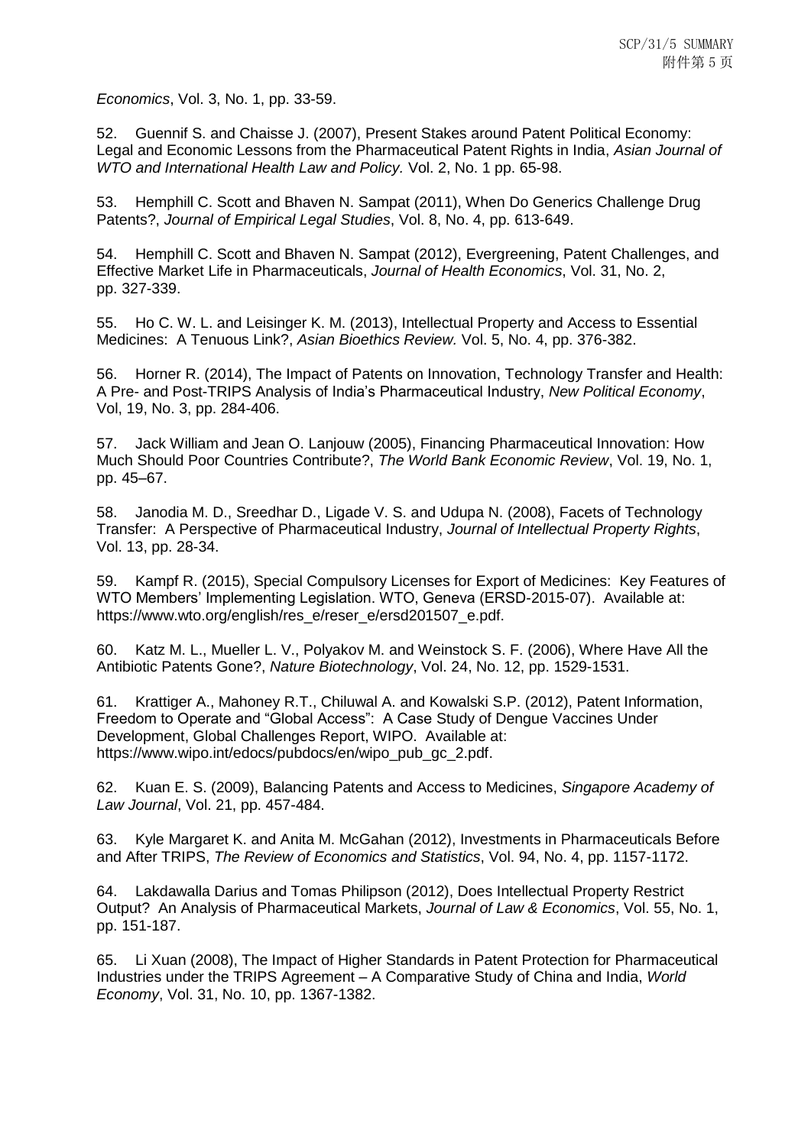*Economics*, Vol. 3, No. 1, pp. 33-59.

52. Guennif S. and Chaisse J. (2007), Present Stakes around Patent Political Economy: Legal and Economic Lessons from the Pharmaceutical Patent Rights in India, *Asian Journal of WTO and International Health Law and Policy.* Vol. 2, No. 1 pp. 65-98.

53. Hemphill C. Scott and Bhaven N. Sampat (2011), When Do Generics Challenge Drug Patents?, *Journal of Empirical Legal Studies*, Vol. 8, No. 4, pp. 613-649.

54. Hemphill C. Scott and Bhaven N. Sampat (2012), Evergreening, Patent Challenges, and Effective Market Life in Pharmaceuticals, *Journal of Health Economics*, Vol. 31, No. 2, pp. 327-339.

55. Ho C. W. L. and Leisinger K. M. (2013), Intellectual Property and Access to Essential Medicines: A Tenuous Link?, *Asian Bioethics Review.* Vol. 5, No. 4, pp. 376-382.

56. Horner R. (2014), The Impact of Patents on Innovation, Technology Transfer and Health: A Pre- and Post-TRIPS Analysis of India's Pharmaceutical Industry, *New Political Economy*, Vol, 19, No. 3, pp. 284-406.

57. Jack William and Jean O. Lanjouw (2005), Financing Pharmaceutical Innovation: How Much Should Poor Countries Contribute?, *The World Bank Economic Review*, Vol. 19, No. 1, pp. 45–67.

58. Janodia M. D., Sreedhar D., Ligade V. S. and Udupa N. (2008), Facets of Technology Transfer: A Perspective of Pharmaceutical Industry, *Journal of Intellectual Property Rights*, Vol. 13, pp. 28-34.

59. Kampf R. (2015), Special Compulsory Licenses for Export of Medicines: Key Features of WTO Members' Implementing Legislation. WTO, Geneva (ERSD-2015-07). Available at: https://www.wto.org/english/res\_e/reser\_e/ersd201507\_e.pdf.

60. Katz M. L., Mueller L. V., Polyakov M. and Weinstock S. F. (2006), Where Have All the Antibiotic Patents Gone?, *Nature Biotechnology*, Vol. 24, No. 12, pp. 1529-1531.

61. Krattiger A., Mahoney R.T., Chiluwal A. and Kowalski S.P. (2012), Patent Information, Freedom to Operate and "Global Access": A Case Study of Dengue Vaccines Under Development, Global Challenges Report, WIPO. Available at: https://www.wipo.int/edocs/pubdocs/en/wipo\_pub\_gc\_2.pdf.

62. Kuan E. S. (2009), Balancing Patents and Access to Medicines, *Singapore Academy of Law Journal*, Vol. 21, pp. 457-484.

63. Kyle Margaret K. and Anita M. McGahan (2012), Investments in Pharmaceuticals Before and After TRIPS, *The Review of Economics and Statistics*, Vol. 94, No. 4, pp. 1157-1172.

64. Lakdawalla Darius and Tomas Philipson (2012), Does Intellectual Property Restrict Output? An Analysis of Pharmaceutical Markets, *Journal of Law & Economics*, Vol. 55, No. 1, pp. 151-187.

65. Li Xuan (2008), The Impact of Higher Standards in Patent Protection for Pharmaceutical Industries under the TRIPS Agreement – A Comparative Study of China and India, *World Economy*, Vol. 31, No. 10, pp. 1367-1382.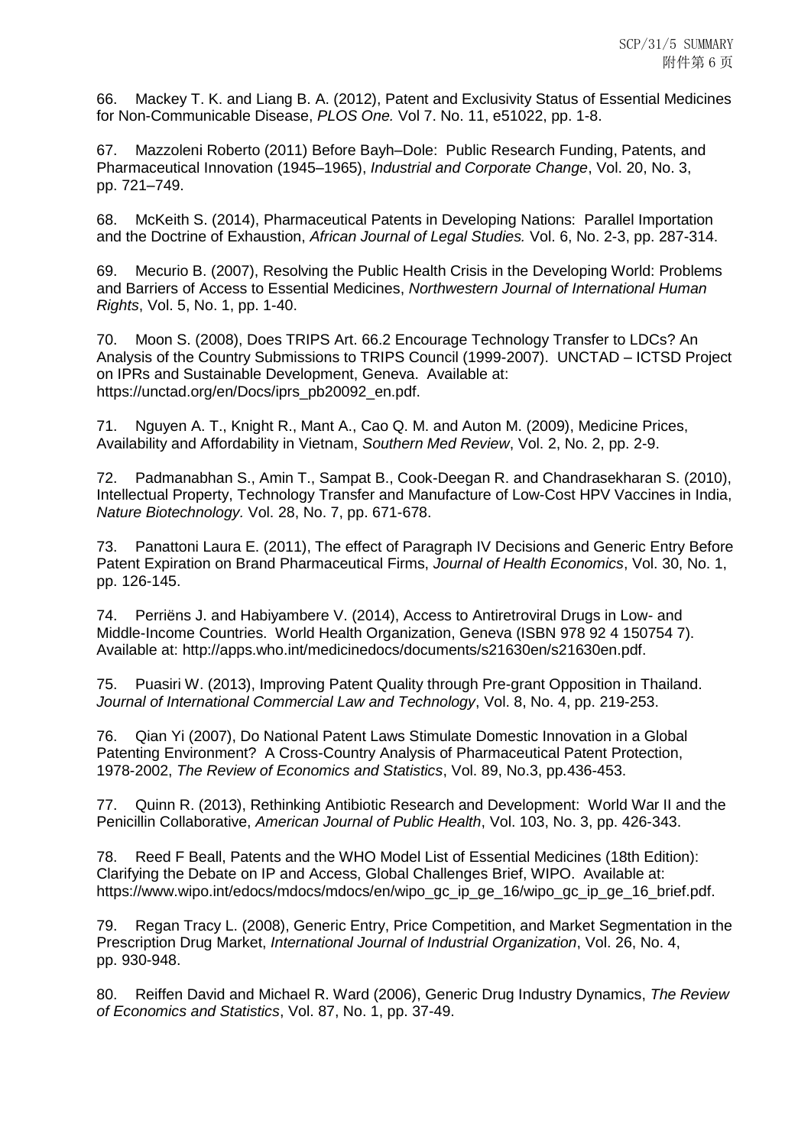66. Mackey T. K. and Liang B. A. (2012), Patent and Exclusivity Status of Essential Medicines for Non-Communicable Disease, *PLOS One.* Vol 7. No. 11, e51022, pp. 1-8.

67. Mazzoleni Roberto (2011) Before Bayh–Dole: Public Research Funding, Patents, and Pharmaceutical Innovation (1945–1965), *Industrial and Corporate Change*, Vol. 20, No. 3, pp. 721–749.

68. McKeith S. (2014), Pharmaceutical Patents in Developing Nations: Parallel Importation and the Doctrine of Exhaustion, *African Journal of Legal Studies.* Vol. 6, No. 2-3, pp. 287-314.

69. Mecurio B. (2007), Resolving the Public Health Crisis in the Developing World: Problems and Barriers of Access to Essential Medicines, *Northwestern Journal of International Human Rights*, Vol. 5, No. 1, pp. 1-40.

70. Moon S. (2008), Does TRIPS Art. 66.2 Encourage Technology Transfer to LDCs? An Analysis of the Country Submissions to TRIPS Council (1999-2007). UNCTAD – ICTSD Project on IPRs and Sustainable Development, Geneva. Available at: https://unctad.org/en/Docs/iprs\_pb20092\_en.pdf.

71. Nguyen A. T., Knight R., Mant A., Cao Q. M. and Auton M. (2009), Medicine Prices, Availability and Affordability in Vietnam, *Southern Med Review*, Vol. 2, No. 2, pp. 2-9.

72. Padmanabhan S., Amin T., Sampat B., Cook-Deegan R. and Chandrasekharan S. (2010), Intellectual Property, Technology Transfer and Manufacture of Low-Cost HPV Vaccines in India, *Nature Biotechnology.* Vol. 28, No. 7, pp. 671-678.

73. Panattoni Laura E. (2011), The effect of Paragraph IV Decisions and Generic Entry Before Patent Expiration on Brand Pharmaceutical Firms, *Journal of Health Economics*, Vol. 30, No. 1, pp. 126-145.

74. Perriëns J. and Habiyambere V. (2014), Access to Antiretroviral Drugs in Low- and Middle-Income Countries. World Health Organization, Geneva (ISBN 978 92 4 150754 7). Available at: http://apps.who.int/medicinedocs/documents/s21630en/s21630en.pdf.

75. Puasiri W. (2013), Improving Patent Quality through Pre-grant Opposition in Thailand. *Journal of International Commercial Law and Technology*, Vol. 8, No. 4, pp. 219-253.

76. Qian Yi (2007), Do National Patent Laws Stimulate Domestic Innovation in a Global Patenting Environment? A Cross-Country Analysis of Pharmaceutical Patent Protection, 1978-2002, *The Review of Economics and Statistics*, Vol. 89, No.3, pp.436-453.

77. Quinn R. (2013), Rethinking Antibiotic Research and Development: World War II and the Penicillin Collaborative, *American Journal of Public Health*, Vol. 103, No. 3, pp. 426-343.

78. Reed F Beall, Patents and the WHO Model List of Essential Medicines (18th Edition): Clarifying the Debate on IP and Access, Global Challenges Brief, WIPO. Available at: https://www.wipo.int/edocs/mdocs/mdocs/en/wipo\_gc\_ip\_ge\_16/wipo\_gc\_ip\_ge\_16\_brief.pdf.

79. Regan Tracy L. (2008), Generic Entry, Price Competition, and Market Segmentation in the Prescription Drug Market, *International Journal of Industrial Organization*, Vol. 26, No. 4, pp. 930-948.

80. Reiffen David and Michael R. Ward (2006), Generic Drug Industry Dynamics, *The Review of Economics and Statistics*, Vol. 87, No. 1, pp. 37-49.